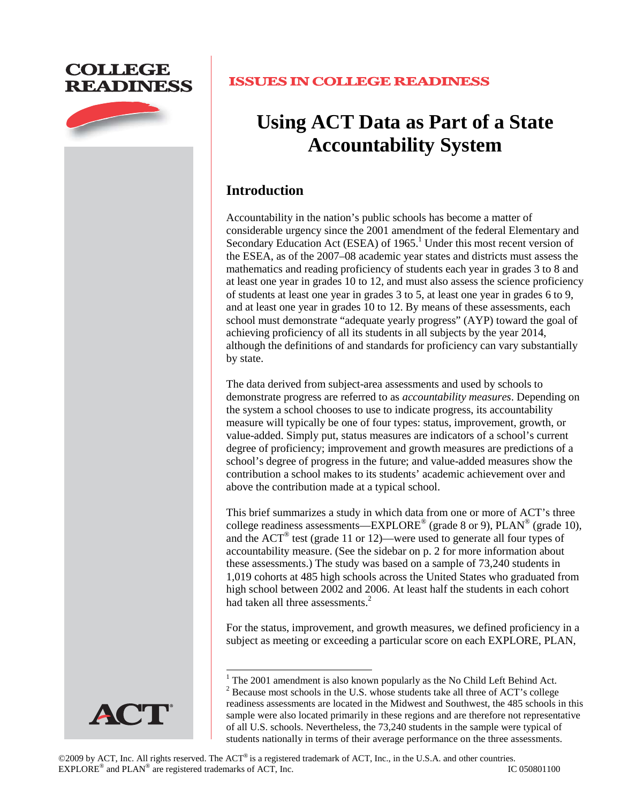# **COLLEGE READINESS**



# **ISSUES IN COLLEGE READINESS**

# **Using ACT Data as Part of a State Accountability System**

# **Introduction**

Accountability in the nation's public schools has become a matter of considerable urgency since the 2001 amendment of the federal Elementary and Secondary Education Act (ESEA) of 1965.<sup>1</sup> Under this most recent version of the ESEA, as of the 2007–08 academic year states and districts must assess the mathematics and reading proficiency of students each year in grades 3 to 8 and at least one year in grades 10 to 12, and must also assess the science proficiency of students at least one year in grades 3 to 5, at least one year in grades 6 to 9, and at least one year in grades 10 to 12. By means of these assessments, each school must demonstrate "adequate yearly progress" (AYP) toward the goal of achieving proficiency of all its students in all subjects by the year 2014, although the definitions of and standards for proficiency can vary substantially by state.

The data derived from subject-area assessments and used by schools to demonstrate progress are referred to as *accountability measures*. Depending on the system a school chooses to use to indicate progress, its accountability measure will typically be one of four types: status, improvement, growth, or value-added. Simply put, status measures are indicators of a school's current degree of proficiency; improvement and growth measures are predictions of a school's degree of progress in the future; and value-added measures show the contribution a school makes to its students' academic achievement over and above the contribution made at a typical school.

This brief summarizes a study in which data from one or more of ACT's three college readiness assessments—EXPLORE<sup>®</sup> (grade 8 or 9), PLAN<sup>®</sup> (grade 10), and the ACT® test (grade 11 or 12)—were used to generate all four types of accountability measure. (See the sidebar on p. 2 for more information about these assessments.) The study was based on a sample of 73,240 students in 1,019 cohorts at 485 high schools across the United States who graduated from high school between 2002 and 2006. At least half the students in each cohort had taken all three assessments.<sup>2</sup>

For the status, improvement, and growth measures, we defined proficiency in a subject as meeting or exceeding a particular score on each EXPLORE, PLAN,



<sup>&</sup>lt;sup>1</sup> The 2001 amendment is also known popularly as the No Child Left Behind Act.  $2^{2}$  Because most schools in the U.S. whose students take all three of ACT's college readiness assessments are located in the Midwest and Southwest, the 485 schools in this sample were also located primarily in these regions and are therefore not representative of all U.S. schools. Nevertheless, the 73,240 students in the sample were typical of students nationally in terms of their average performance on the three assessments.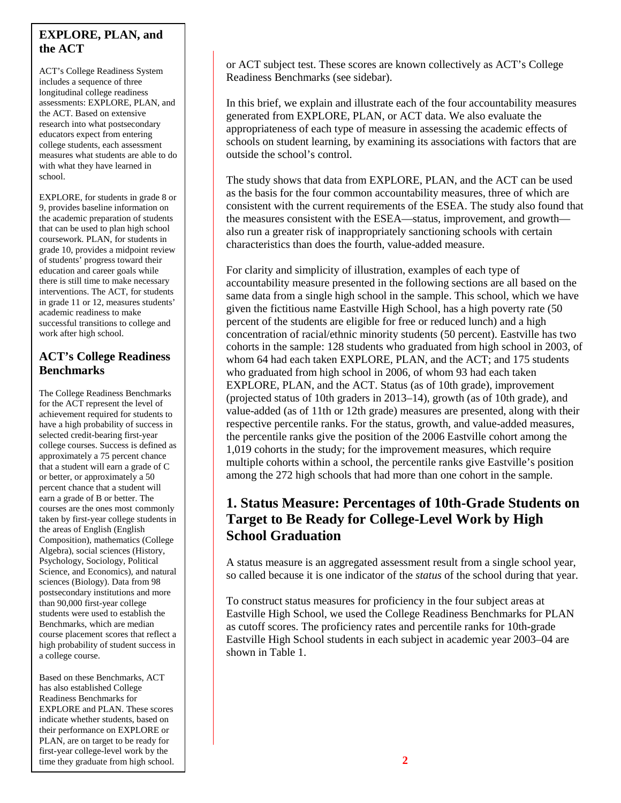### **EXPLORE, PLAN, and the ACT**

ACT's College Readiness System includes a sequence of three longitudinal college readiness assessments: EXPLORE, PLAN, and the ACT. Based on extensive research into what postsecondary educators expect from entering college students, each assessment measures what students are able to do with what they have learned in school.

EXPLORE, for students in grade 8 or 9, provides baseline information on the academic preparation of students that can be used to plan high school coursework. PLAN, for students in grade 10, provides a midpoint review of students' progress toward their education and career goals while there is still time to make necessary interventions. The ACT, for students in grade 11 or 12, measures students' academic readiness to make successful transitions to college and work after high school.

### **ACT's College Readiness Benchmarks**

The College Readiness Benchmarks for the ACT represent the level of achievement required for students to have a high probability of success in selected credit-bearing first-year college courses. Success is defined as approximately a 75 percent chance that a student will earn a grade of C or better, or approximately a 50 percent chance that a student will earn a grade of B or better. The courses are the ones most commonly taken by first-year college students in the areas of English (English Composition), mathematics (College Algebra), social sciences (History, Psychology, Sociology, Political Science, and Economics), and natural sciences (Biology). Data from 98 postsecondary institutions and more than 90,000 first-year college students were used to establish the Benchmarks, which are median course placement scores that reflect a high probability of student success in a college course.

Based on these Benchmarks, ACT has also established College Readiness Benchmarks for EXPLORE and PLAN. These scores indicate whether students, based on their performance on EXPLORE or PLAN, are on target to be ready for first-year college-level work by the time they graduate from high school. or ACT subject test. These scores are known collectively as ACT's College Readiness Benchmarks (see sidebar).

In this brief, we explain and illustrate each of the four accountability measures generated from EXPLORE, PLAN, or ACT data. We also evaluate the appropriateness of each type of measure in assessing the academic effects of schools on student learning, by examining its associations with factors that are outside the school's control.

The study shows that data from EXPLORE, PLAN, and the ACT can be used as the basis for the four common accountability measures, three of which are consistent with the current requirements of the ESEA. The study also found that the measures consistent with the ESEA—status, improvement, and growth also run a greater risk of inappropriately sanctioning schools with certain characteristics than does the fourth, value-added measure.

For clarity and simplicity of illustration, examples of each type of accountability measure presented in the following sections are all based on the same data from a single high school in the sample. This school, which we have given the fictitious name Eastville High School, has a high poverty rate (50 percent of the students are eligible for free or reduced lunch) and a high concentration of racial/ethnic minority students (50 percent). Eastville has two cohorts in the sample: 128 students who graduated from high school in 2003, of whom 64 had each taken EXPLORE, PLAN, and the ACT; and 175 students who graduated from high school in 2006, of whom 93 had each taken EXPLORE, PLAN, and the ACT. Status (as of 10th grade), improvement (projected status of 10th graders in 2013–14), growth (as of 10th grade), and value-added (as of 11th or 12th grade) measures are presented, along with their respective percentile ranks. For the status, growth, and value-added measures, the percentile ranks give the position of the 2006 Eastville cohort among the 1,019 cohorts in the study; for the improvement measures, which require multiple cohorts within a school, the percentile ranks give Eastville's position among the 272 high schools that had more than one cohort in the sample.

# **1. Status Measure: Percentages of 10th-Grade Students on Target to Be Ready for College-Level Work by High School Graduation**

A status measure is an aggregated assessment result from a single school year, so called because it is one indicator of the *status* of the school during that year.

To construct status measures for proficiency in the four subject areas at Eastville High School, we used the College Readiness Benchmarks for PLAN as cutoff scores. The proficiency rates and percentile ranks for 10th-grade Eastville High School students in each subject in academic year 2003–04 are shown in Table 1.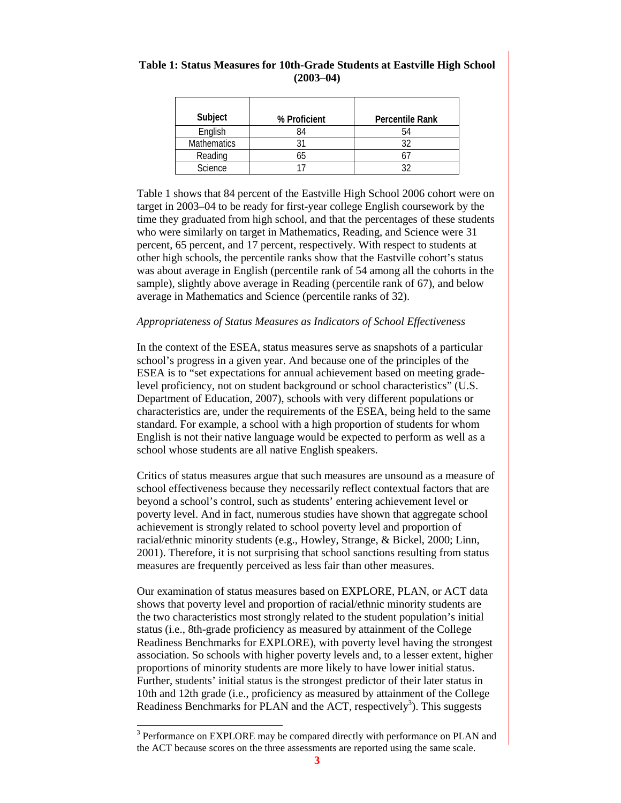| Subject            | % Proficient | <b>Percentile Rank</b> |
|--------------------|--------------|------------------------|
| English            | 84           | 54                     |
| <b>Mathematics</b> |              |                        |
| Reading            | 6h           |                        |
| Science            |              |                        |

#### **Table 1: Status Measures for 10th-Grade Students at Eastville High School (2003–04)**

Table 1 shows that 84 percent of the Eastville High School 2006 cohort were on target in 2003–04 to be ready for first-year college English coursework by the time they graduated from high school, and that the percentages of these students who were similarly on target in Mathematics, Reading, and Science were 31 percent, 65 percent, and 17 percent, respectively. With respect to students at other high schools, the percentile ranks show that the Eastville cohort's status was about average in English (percentile rank of 54 among all the cohorts in the sample), slightly above average in Reading (percentile rank of 67), and below average in Mathematics and Science (percentile ranks of 32).

#### *Appropriateness of Status Measures as Indicators of School Effectiveness*

In the context of the ESEA, status measures serve as snapshots of a particular school's progress in a given year. And because one of the principles of the ESEA is to "set expectations for annual achievement based on meeting gradelevel proficiency, not on student background or school characteristics" (U.S. Department of Education, 2007), schools with very different populations or characteristics are, under the requirements of the ESEA, being held to the same standard. For example, a school with a high proportion of students for whom English is not their native language would be expected to perform as well as a school whose students are all native English speakers.

Critics of status measures argue that such measures are unsound as a measure of school effectiveness because they necessarily reflect contextual factors that are beyond a school's control, such as students' entering achievement level or poverty level. And in fact, numerous studies have shown that aggregate school achievement is strongly related to school poverty level and proportion of racial/ethnic minority students (e.g., Howley, Strange, & Bickel, 2000; Linn, 2001). Therefore, it is not surprising that school sanctions resulting from status measures are frequently perceived as less fair than other measures.

Our examination of status measures based on EXPLORE, PLAN, or ACT data shows that poverty level and proportion of racial/ethnic minority students are the two characteristics most strongly related to the student population's initial status (i.e., 8th-grade proficiency as measured by attainment of the College Readiness Benchmarks for EXPLORE), with poverty level having the strongest association. So schools with higher poverty levels and, to a lesser extent, higher proportions of minority students are more likely to have lower initial status. Further, students' initial status is the strongest predictor of their later status in 10th and 12th grade (i.e., proficiency as measured by attainment of the College Readiness Benchmarks for PLAN and the ACT, respectively<sup>3</sup>). This suggests

 $\overline{a}$ 

<sup>&</sup>lt;sup>3</sup> Performance on EXPLORE may be compared directly with performance on PLAN and the ACT because scores on the three assessments are reported using the same scale.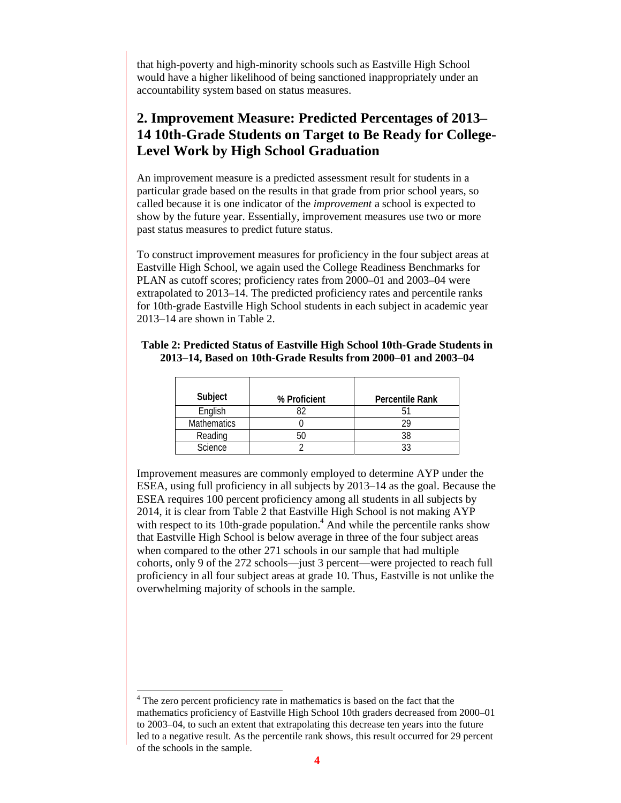that high-poverty and high-minority schools such as Eastville High School would have a higher likelihood of being sanctioned inappropriately under an accountability system based on status measures.

# **2. Improvement Measure: Predicted Percentages of 2013– 14 10th-Grade Students on Target to Be Ready for College-Level Work by High School Graduation**

An improvement measure is a predicted assessment result for students in a particular grade based on the results in that grade from prior school years, so called because it is one indicator of the *improvement* a school is expected to show by the future year. Essentially, improvement measures use two or more past status measures to predict future status.

To construct improvement measures for proficiency in the four subject areas at Eastville High School, we again used the College Readiness Benchmarks for PLAN as cutoff scores; proficiency rates from 2000–01 and 2003–04 were extrapolated to 2013–14. The predicted proficiency rates and percentile ranks for 10th-grade Eastville High School students in each subject in academic year 2013–14 are shown in Table 2.

| Subject            | % Proficient | <b>Percentile Rank</b> |
|--------------------|--------------|------------------------|
| English            |              |                        |
| <b>Mathematics</b> |              | ንዐ                     |
| Reading            |              | 38                     |
| Science            |              |                        |

#### **Table 2: Predicted Status of Eastville High School 10th-Grade Students in 2013–14, Based on 10th-Grade Results from 2000–01 and 2003–04**

Improvement measures are commonly employed to determine AYP under the ESEA, using full proficiency in all subjects by 2013–14 as the goal. Because the ESEA requires 100 percent proficiency among all students in all subjects by 2014, it is clear from Table 2 that Eastville High School is not making AYP with respect to its 10th-grade population. $<sup>4</sup>$  And while the percentile ranks show</sup> that Eastville High School is below average in three of the four subject areas when compared to the other 271 schools in our sample that had multiple cohorts, only 9 of the 272 schools—just 3 percent—were projected to reach full proficiency in all four subject areas at grade 10. Thus, Eastville is not unlike the overwhelming majority of schools in the sample.

 $\overline{a}$ 

<sup>&</sup>lt;sup>4</sup> The zero percent proficiency rate in mathematics is based on the fact that the mathematics proficiency of Eastville High School 10th graders decreased from 2000–01 to 2003–04, to such an extent that extrapolating this decrease ten years into the future led to a negative result. As the percentile rank shows, this result occurred for 29 percent of the schools in the sample.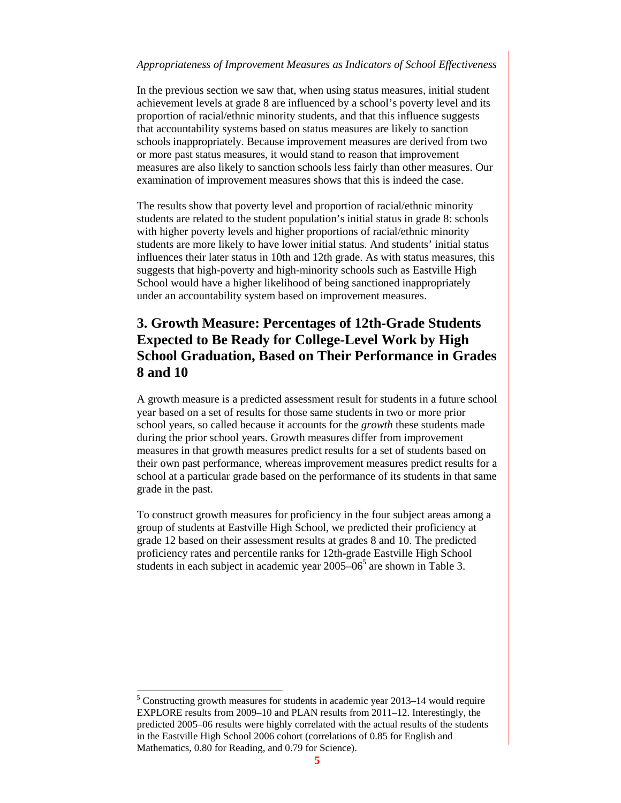#### *Appropriateness of Improvement Measures as Indicators of School Effectiveness*

In the previous section we saw that, when using status measures, initial student achievement levels at grade 8 are influenced by a school's poverty level and its proportion of racial/ethnic minority students, and that this influence suggests that accountability systems based on status measures are likely to sanction schools inappropriately. Because improvement measures are derived from two or more past status measures, it would stand to reason that improvement measures are also likely to sanction schools less fairly than other measures. Our examination of improvement measures shows that this is indeed the case.

The results show that poverty level and proportion of racial/ethnic minority students are related to the student population's initial status in grade 8: schools with higher poverty levels and higher proportions of racial/ethnic minority students are more likely to have lower initial status. And students' initial status influences their later status in 10th and 12th grade. As with status measures, this suggests that high-poverty and high-minority schools such as Eastville High School would have a higher likelihood of being sanctioned inappropriately under an accountability system based on improvement measures.

# **3. Growth Measure: Percentages of 12th-Grade Students Expected to Be Ready for College-Level Work by High School Graduation, Based on Their Performance in Grades 8 and 10**

A growth measure is a predicted assessment result for students in a future school year based on a set of results for those same students in two or more prior school years, so called because it accounts for the *growth* these students made during the prior school years. Growth measures differ from improvement measures in that growth measures predict results for a set of students based on their own past performance, whereas improvement measures predict results for a school at a particular grade based on the performance of its students in that same grade in the past.

To construct growth measures for proficiency in the four subject areas among a group of students at Eastville High School, we predicted their proficiency at grade 12 based on their assessment results at grades 8 and 10. The predicted proficiency rates and percentile ranks for 12th-grade Eastville High School students in each subject in academic year  $2005-06^5$  are shown in Table 3.

 $\overline{a}$ 

<sup>&</sup>lt;sup>5</sup> Constructing growth measures for students in academic year 2013–14 would require EXPLORE results from 2009–10 and PLAN results from 2011–12. Interestingly, the predicted 2005–06 results were highly correlated with the actual results of the students in the Eastville High School 2006 cohort (correlations of 0.85 for English and Mathematics, 0.80 for Reading, and 0.79 for Science).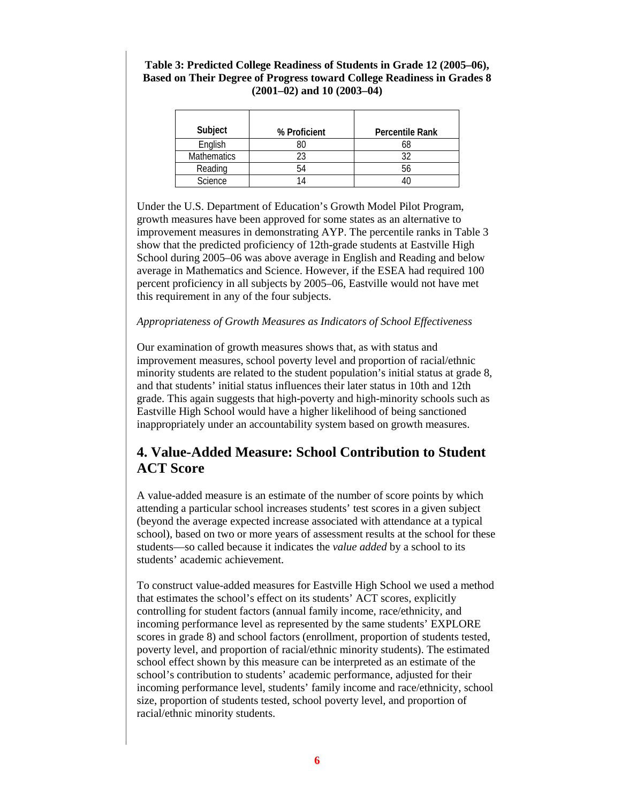#### **Table 3: Predicted College Readiness of Students in Grade 12 (2005–06), Based on Their Degree of Progress toward College Readiness in Grades 8 (2001–02) and 10 (2003–04)**

| Subject            | % Proficient | <b>Percentile Rank</b> |
|--------------------|--------------|------------------------|
| English            |              |                        |
| <b>Mathematics</b> |              |                        |
| Reading            |              |                        |
| Science            |              |                        |

Under the U.S. Department of Education's Growth Model Pilot Program, growth measures have been approved for some states as an alternative to improvement measures in demonstrating AYP. The percentile ranks in Table 3 show that the predicted proficiency of 12th-grade students at Eastville High School during 2005–06 was above average in English and Reading and below average in Mathematics and Science. However, if the ESEA had required 100 percent proficiency in all subjects by 2005–06, Eastville would not have met this requirement in any of the four subjects.

#### *Appropriateness of Growth Measures as Indicators of School Effectiveness*

Our examination of growth measures shows that, as with status and improvement measures, school poverty level and proportion of racial/ethnic minority students are related to the student population's initial status at grade 8, and that students' initial status influences their later status in 10th and 12th grade. This again suggests that high-poverty and high-minority schools such as Eastville High School would have a higher likelihood of being sanctioned inappropriately under an accountability system based on growth measures.

# **4. Value-Added Measure: School Contribution to Student ACT Score**

A value-added measure is an estimate of the number of score points by which attending a particular school increases students' test scores in a given subject (beyond the average expected increase associated with attendance at a typical school), based on two or more years of assessment results at the school for these students—so called because it indicates the *value added* by a school to its students' academic achievement.

To construct value-added measures for Eastville High School we used a method that estimates the school's effect on its students' ACT scores, explicitly controlling for student factors (annual family income, race/ethnicity, and incoming performance level as represented by the same students' EXPLORE scores in grade 8) and school factors (enrollment, proportion of students tested, poverty level, and proportion of racial/ethnic minority students). The estimated school effect shown by this measure can be interpreted as an estimate of the school's contribution to students' academic performance, adjusted for their incoming performance level, students' family income and race/ethnicity, school size, proportion of students tested, school poverty level, and proportion of racial/ethnic minority students.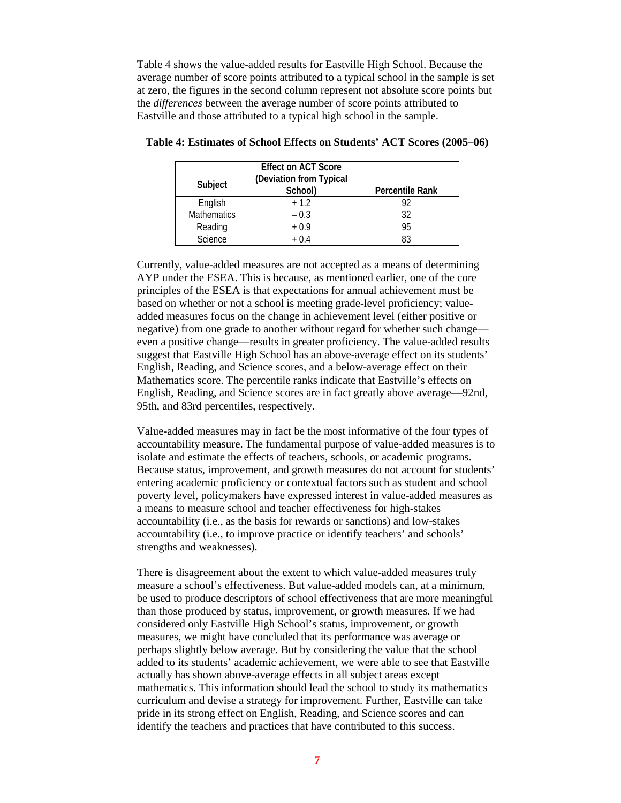Table 4 shows the value-added results for Eastville High School. Because the average number of score points attributed to a typical school in the sample is set at zero, the figures in the second column represent not absolute score points but the *differences* between the average number of score points attributed to Eastville and those attributed to a typical high school in the sample.

| Subject            | <b>Effect on ACT Score</b><br>(Deviation from Typical<br>School) | <b>Percentile Rank</b> |
|--------------------|------------------------------------------------------------------|------------------------|
| English            | $+1.2$                                                           |                        |
| <b>Mathematics</b> | $-0.3$                                                           | 32                     |
| Reading            | $+0.9$                                                           | 95                     |
| <b>Science</b>     | + ∩ 4                                                            | 83                     |

#### **Table 4: Estimates of School Effects on Students' ACT Scores (2005–06)**

Currently, value-added measures are not accepted as a means of determining AYP under the ESEA. This is because, as mentioned earlier, one of the core principles of the ESEA is that expectations for annual achievement must be based on whether or not a school is meeting grade-level proficiency; valueadded measures focus on the change in achievement level (either positive or negative) from one grade to another without regard for whether such change even a positive change—results in greater proficiency. The value-added results suggest that Eastville High School has an above-average effect on its students' English, Reading, and Science scores, and a below-average effect on their Mathematics score. The percentile ranks indicate that Eastville's effects on English, Reading, and Science scores are in fact greatly above average—92nd, 95th, and 83rd percentiles, respectively.

Value-added measures may in fact be the most informative of the four types of accountability measure. The fundamental purpose of value-added measures is to isolate and estimate the effects of teachers, schools, or academic programs. Because status, improvement, and growth measures do not account for students' entering academic proficiency or contextual factors such as student and school poverty level, policymakers have expressed interest in value-added measures as a means to measure school and teacher effectiveness for high-stakes accountability (i.e., as the basis for rewards or sanctions) and low-stakes accountability (i.e., to improve practice or identify teachers' and schools' strengths and weaknesses).

There is disagreement about the extent to which value-added measures truly measure a school's effectiveness. But value-added models can, at a minimum, be used to produce descriptors of school effectiveness that are more meaningful than those produced by status, improvement, or growth measures. If we had considered only Eastville High School's status, improvement, or growth measures, we might have concluded that its performance was average or perhaps slightly below average. But by considering the value that the school added to its students' academic achievement, we were able to see that Eastville actually has shown above-average effects in all subject areas except mathematics. This information should lead the school to study its mathematics curriculum and devise a strategy for improvement. Further, Eastville can take pride in its strong effect on English, Reading, and Science scores and can identify the teachers and practices that have contributed to this success.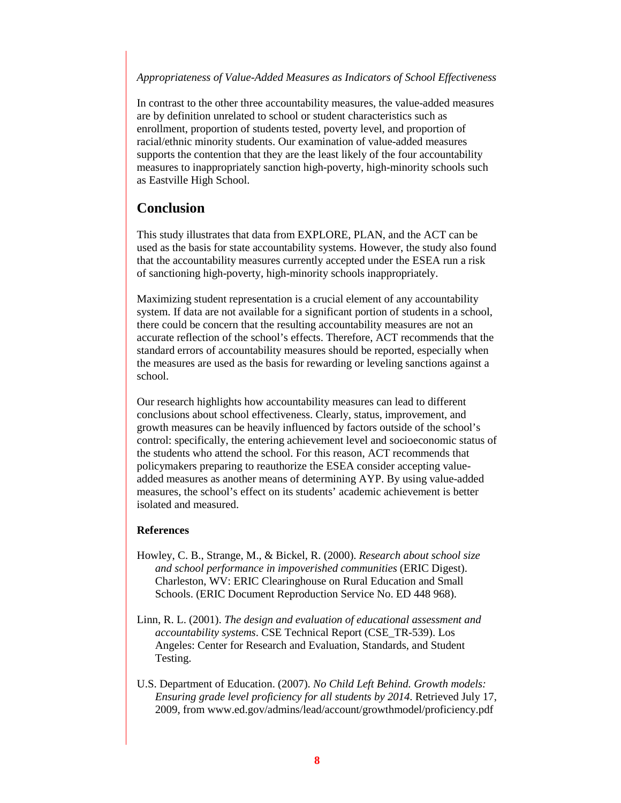#### *Appropriateness of Value-Added Measures as Indicators of School Effectiveness*

In contrast to the other three accountability measures, the value-added measures are by definition unrelated to school or student characteristics such as enrollment, proportion of students tested, poverty level, and proportion of racial/ethnic minority students. Our examination of value-added measures supports the contention that they are the least likely of the four accountability measures to inappropriately sanction high-poverty, high-minority schools such as Eastville High School.

### **Conclusion**

This study illustrates that data from EXPLORE, PLAN, and the ACT can be used as the basis for state accountability systems. However, the study also found that the accountability measures currently accepted under the ESEA run a risk of sanctioning high-poverty, high-minority schools inappropriately.

Maximizing student representation is a crucial element of any accountability system. If data are not available for a significant portion of students in a school, there could be concern that the resulting accountability measures are not an accurate reflection of the school's effects. Therefore, ACT recommends that the standard errors of accountability measures should be reported, especially when the measures are used as the basis for rewarding or leveling sanctions against a school.

Our research highlights how accountability measures can lead to different conclusions about school effectiveness. Clearly, status, improvement, and growth measures can be heavily influenced by factors outside of the school's control: specifically, the entering achievement level and socioeconomic status of the students who attend the school. For this reason, ACT recommends that policymakers preparing to reauthorize the ESEA consider accepting valueadded measures as another means of determining AYP. By using value-added measures, the school's effect on its students' academic achievement is better isolated and measured.

#### **References**

- Howley, C. B., Strange, M., & Bickel, R. (2000). *Research about school size and school performance in impoverished communities* (ERIC Digest). Charleston, WV: ERIC Clearinghouse on Rural Education and Small Schools. (ERIC Document Reproduction Service No. ED 448 968).
- Linn, R. L. (2001). *The design and evaluation of educational assessment and accountability systems*. CSE Technical Report (CSE\_TR-539). Los Angeles: Center for Research and Evaluation, Standards, and Student Testing.
- U.S. Department of Education. (2007). *No Child Left Behind. Growth models: Ensuring grade level proficiency for all students by 2014*. Retrieved July 17, 2009, from www.ed.gov/admins/lead/account/growthmodel/proficiency.pdf